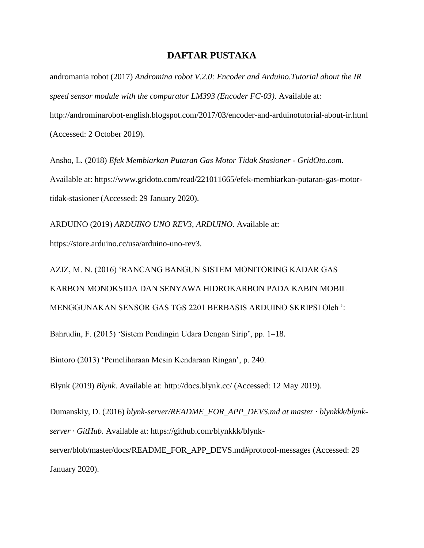## **DAFTAR PUSTAKA**

andromania robot (2017) *Andromina robot V.2.0: Encoder and Arduino.Tutorial about the IR speed sensor module with the comparator LM393 (Encoder FC-03)*. Available at: http://androminarobot-english.blogspot.com/2017/03/encoder-and-arduinotutorial-about-ir.html (Accessed: 2 October 2019).

Ansho, L. (2018) *Efek Membiarkan Putaran Gas Motor Tidak Stasioner - GridOto.com*. Available at: https://www.gridoto.com/read/221011665/efek-membiarkan-putaran-gas-motortidak-stasioner (Accessed: 29 January 2020).

ARDUINO (2019) *ARDUINO UNO REV3*, *ARDUINO*. Available at: https://store.arduino.cc/usa/arduino-uno-rev3.

AZIZ, M. N. (2016) 'RANCANG BANGUN SISTEM MONITORING KADAR GAS KARBON MONOKSIDA DAN SENYAWA HIDROKARBON PADA KABIN MOBIL MENGGUNAKAN SENSOR GAS TGS 2201 BERBASIS ARDUINO SKRIPSI Oleh ':

Bahrudin, F. (2015) 'Sistem Pendingin Udara Dengan Sirip', pp. 1–18.

Bintoro (2013) 'Pemeliharaan Mesin Kendaraan Ringan', p. 240.

Blynk (2019) *Blynk*. Available at: http://docs.blynk.cc/ (Accessed: 12 May 2019).

Dumanskiy, D. (2016) *blynk-server/README\_FOR\_APP\_DEVS.md at master · blynkkk/blynkserver · GitHub*. Available at: https://github.com/blynkkk/blynkserver/blob/master/docs/README\_FOR\_APP\_DEVS.md#protocol-messages (Accessed: 29 January 2020).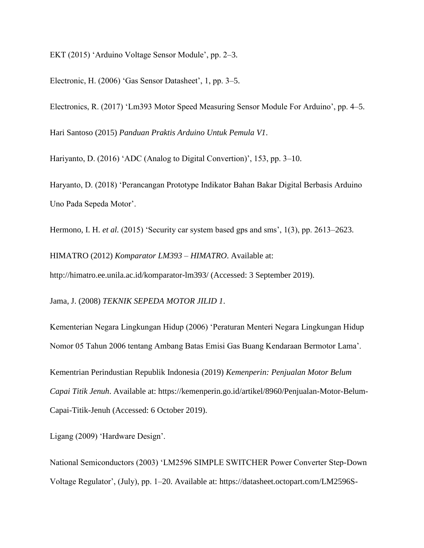EKT (2015) 'Arduino Voltage Sensor Module', pp. 2–3.

Electronic, H. (2006) 'Gas Sensor Datasheet', 1, pp. 3–5.

Electronics, R. (2017) 'Lm393 Motor Speed Measuring Sensor Module For Arduino', pp. 4–5. Hari Santoso (2015) *Panduan Praktis Arduino Untuk Pemula V1*.

Hariyanto, D. (2016) 'ADC (Analog to Digital Convertion)', 153, pp. 3–10.

Haryanto, D. (2018) 'Perancangan Prototype Indikator Bahan Bakar Digital Berbasis Arduino Uno Pada Sepeda Motor'.

Hermono, I. H. *et al.* (2015) 'Security car system based gps and sms', 1(3), pp. 2613–2623.

HIMATRO (2012) *Komparator LM393 – HIMATRO*. Available at:

http://himatro.ee.unila.ac.id/komparator-lm393/ (Accessed: 3 September 2019).

Jama, J. (2008) *TEKNIK SEPEDA MOTOR JILID 1*.

Kementerian Negara Lingkungan Hidup (2006) 'Peraturan Menteri Negara Lingkungan Hidup Nomor 05 Tahun 2006 tentang Ambang Batas Emisi Gas Buang Kendaraan Bermotor Lama'.

Kementrian Perindustian Republik Indonesia (2019) *Kemenperin: Penjualan Motor Belum Capai Titik Jenuh*. Available at: https://kemenperin.go.id/artikel/8960/Penjualan-Motor-Belum-Capai-Titik-Jenuh (Accessed: 6 October 2019).

Ligang (2009) 'Hardware Design'.

National Semiconductors (2003) 'LM2596 SIMPLE SWITCHER Power Converter Step-Down Voltage Regulator', (July), pp. 1–20. Available at: https://datasheet.octopart.com/LM2596S-